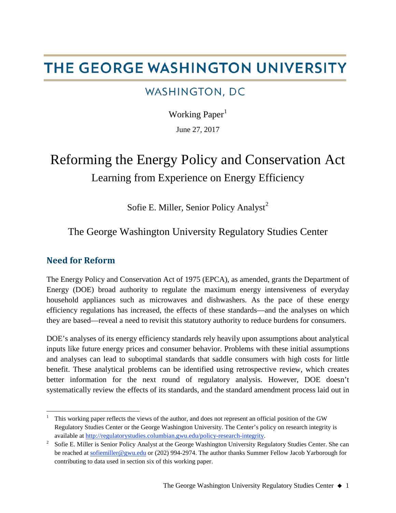# THE GEORGE WASHINGTON UNIVERSITY

# **WASHINGTON, DC**

Working Paper $<sup>1</sup>$  $<sup>1</sup>$  $<sup>1</sup>$ </sup>

June 27, 2017

# Reforming the Energy Policy and Conservation Act Learning from Experience on Energy Efficiency

Sofie E. Miller, Senior Policy Analyst<sup>[2](#page-0-1)</sup>

The George Washington University Regulatory Studies Center

# **Need for Reform**

The Energy Policy and Conservation Act of 1975 (EPCA), as amended, grants the Department of Energy (DOE) broad authority to regulate the maximum energy intensiveness of everyday household appliances such as microwaves and dishwashers. As the pace of these energy efficiency regulations has increased, the effects of these standards—and the analyses on which they are based—reveal a need to revisit this statutory authority to reduce burdens for consumers.

DOE's analyses of its energy efficiency standards rely heavily upon assumptions about analytical inputs like future energy prices and consumer behavior. Problems with these initial assumptions and analyses can lead to suboptimal standards that saddle consumers with high costs for little benefit. These analytical problems can be identified using retrospective review, which creates better information for the next round of regulatory analysis. However, DOE doesn't systematically review the effects of its standards, and the standard amendment process laid out in

<span id="page-0-0"></span> $\frac{1}{1}$  This working paper reflects the views of the author, and does not represent an official position of the GW Regulatory Studies Center or the George Washington University. The Center's policy on research integrity is available at [http://regulatorystudies.columbian.gwu.edu/policy-research-integrity.](http://regulatorystudies.columbian.gwu.edu/policy-research-integrity)

<span id="page-0-1"></span><sup>&</sup>lt;sup>2</sup> Sofie E. Miller is Senior Policy Analyst at the George Washington University Regulatory Studies Center. She can be reached a[t sofiemiller@gwu.edu](mailto:sofiemiller@gwu.edu) or (202) 994-2974. The author thanks Summer Fellow Jacob Yarborough for contributing to data used in section six of this working paper.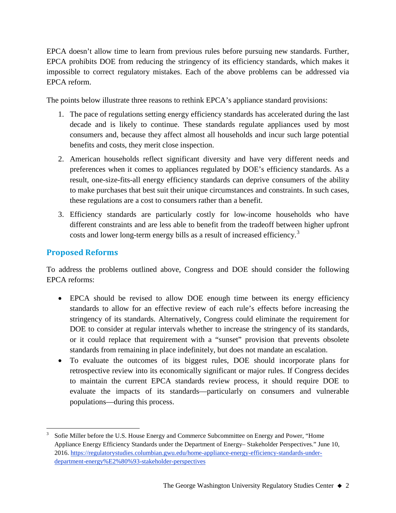EPCA doesn't allow time to learn from previous rules before pursuing new standards. Further, EPCA prohibits DOE from reducing the stringency of its efficiency standards, which makes it impossible to correct regulatory mistakes. Each of the above problems can be addressed via EPCA reform.

The points below illustrate three reasons to rethink EPCA's appliance standard provisions:

- 1. The pace of regulations setting energy efficiency standards has accelerated during the last decade and is likely to continue. These standards regulate appliances used by most consumers and, because they affect almost all households and incur such large potential benefits and costs, they merit close inspection.
- 2. American households reflect significant diversity and have very different needs and preferences when it comes to appliances regulated by DOE's efficiency standards. As a result, one-size-fits-all energy efficiency standards can deprive consumers of the ability to make purchases that best suit their unique circumstances and constraints. In such cases, these regulations are a cost to consumers rather than a benefit.
- 3. Efficiency standards are particularly costly for low-income households who have different constraints and are less able to benefit from the tradeoff between higher upfront costs and lower long-term energy bills as a result of increased efficiency.<sup>[3](#page-1-0)</sup>

# **Proposed Reforms**

To address the problems outlined above, Congress and DOE should consider the following EPCA reforms:

- EPCA should be revised to allow DOE enough time between its energy efficiency standards to allow for an effective review of each rule's effects before increasing the stringency of its standards. Alternatively, Congress could eliminate the requirement for DOE to consider at regular intervals whether to increase the stringency of its standards, or it could replace that requirement with a "sunset" provision that prevents obsolete standards from remaining in place indefinitely, but does not mandate an escalation.
- To evaluate the outcomes of its biggest rules, DOE should incorporate plans for retrospective review into its economically significant or major rules. If Congress decides to maintain the current EPCA standards review process, it should require DOE to evaluate the impacts of its standards—particularly on consumers and vulnerable populations—during this process.

<span id="page-1-0"></span> <sup>3</sup> Sofie Miller before the U.S. House Energy and Commerce Subcommittee on Energy and Power, "Home Appliance Energy Efficiency Standards under the Department of Energy– Stakeholder Perspectives." June 10, 2016. [https://regulatorystudies.columbian.gwu.edu/home-appliance-energy-efficiency-standards-under](https://regulatorystudies.columbian.gwu.edu/home-appliance-energy-efficiency-standards-under-department-energy%E2%80%93-stakeholder-perspectives)[department-energy%E2%80%93-stakeholder-perspectives](https://regulatorystudies.columbian.gwu.edu/home-appliance-energy-efficiency-standards-under-department-energy%E2%80%93-stakeholder-perspectives)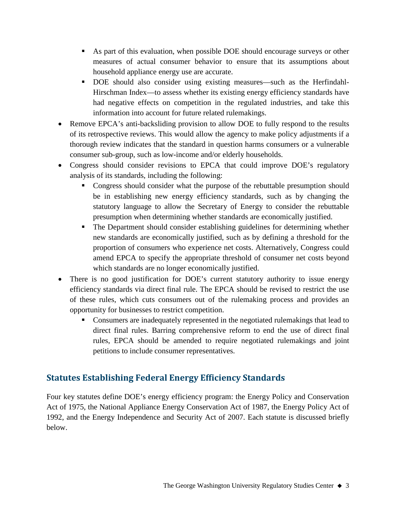- As part of this evaluation, when possible DOE should encourage surveys or other measures of actual consumer behavior to ensure that its assumptions about household appliance energy use are accurate.
- DOE should also consider using existing measures—such as the Herfindahl-Hirschman Index—to assess whether its existing energy efficiency standards have had negative effects on competition in the regulated industries, and take this information into account for future related rulemakings.
- Remove EPCA's anti-backsliding provision to allow DOE to fully respond to the results of its retrospective reviews. This would allow the agency to make policy adjustments if a thorough review indicates that the standard in question harms consumers or a vulnerable consumer sub-group, such as low-income and/or elderly households.
- Congress should consider revisions to EPCA that could improve DOE's regulatory analysis of its standards, including the following:
	- Congress should consider what the purpose of the rebuttable presumption should be in establishing new energy efficiency standards, such as by changing the statutory language to allow the Secretary of Energy to consider the rebuttable presumption when determining whether standards are economically justified.
	- The Department should consider establishing guidelines for determining whether new standards are economically justified, such as by defining a threshold for the proportion of consumers who experience net costs. Alternatively, Congress could amend EPCA to specify the appropriate threshold of consumer net costs beyond which standards are no longer economically justified.
- There is no good justification for DOE's current statutory authority to issue energy efficiency standards via direct final rule. The EPCA should be revised to restrict the use of these rules, which cuts consumers out of the rulemaking process and provides an opportunity for businesses to restrict competition.
	- Consumers are inadequately represented in the negotiated rulemakings that lead to direct final rules. Barring comprehensive reform to end the use of direct final rules, EPCA should be amended to require negotiated rulemakings and joint petitions to include consumer representatives.

# **Statutes Establishing Federal Energy Efficiency Standards**

Four key statutes define DOE's energy efficiency program: the Energy Policy and Conservation Act of 1975, the National Appliance Energy Conservation Act of 1987, the Energy Policy Act of 1992, and the Energy Independence and Security Act of 2007. Each statute is discussed briefly below.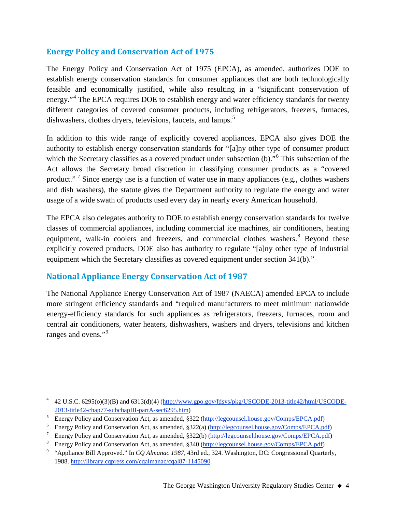#### **Energy Policy and Conservation Act of 1975**

The Energy Policy and Conservation Act of 1975 (EPCA), as amended, authorizes DOE to establish energy conservation standards for consumer appliances that are both technologically feasible and economically justified, while also resulting in a "significant conservation of energy."<sup>[4](#page-3-0)</sup> The EPCA requires DOE to establish energy and water efficiency standards for twenty different categories of covered consumer products, including refrigerators, freezers, furnaces, dishwashers, clothes dryers, televisions, faucets, and lamps.<sup>[5](#page-3-1)</sup>

In addition to this wide range of explicitly covered appliances, EPCA also gives DOE the authority to establish energy conservation standards for "[a]ny other type of consumer product which the Secretary classifies as a covered product under subsection (b).<sup>"[6](#page-3-2)</sup> This subsection of the Act allows the Secretary broad discretion in classifying consumer products as a "covered product."<sup>[7](#page-3-3)</sup> Since energy use is a function of water use in many appliances (e.g., clothes washers and dish washers), the statute gives the Department authority to regulate the energy and water usage of a wide swath of products used every day in nearly every American household.

The EPCA also delegates authority to DOE to establish energy conservation standards for twelve classes of commercial appliances, including commercial ice machines, air conditioners, heating equipment, walk-in coolers and freezers, and commercial clothes washers.<sup>[8](#page-3-4)</sup> Beyond these explicitly covered products, DOE also has authority to regulate "[a]ny other type of industrial equipment which the Secretary classifies as covered equipment under section 341(b)."

#### **National Appliance Energy Conservation Act of 1987**

The National Appliance Energy Conservation Act of 1987 (NAECA) amended EPCA to include more stringent efficiency standards and "required manufacturers to meet minimum nationwide energy-efficiency standards for such appliances as refrigerators, freezers, furnaces, room and central air conditioners, water heaters, dishwashers, washers and dryers, televisions and kitchen ranges and ovens."<sup>[9](#page-3-5)</sup>

<span id="page-3-0"></span> <sup>4</sup> 42 U.S.C. 6295(o)(3)(B) and 6313(d)(4) [\(http://www.gpo.gov/fdsys/pkg/USCODE-2013-title42/html/USCODE-](http://www.gpo.gov/fdsys/pkg/USCODE-2013-title42/html/USCODE-2013-title42-chap77-subchapIII-partA-sec6295.htm)[2013-title42-chap77-subchapIII-partA-sec6295.htm\)](http://www.gpo.gov/fdsys/pkg/USCODE-2013-title42/html/USCODE-2013-title42-chap77-subchapIII-partA-sec6295.htm)<br>Energy Policy and Conservation Act, as amended, §322 [\(http://legcounsel.house.gov/Comps/EPCA.pdf\)](http://legcounsel.house.gov/Comps/EPCA.pdf)

<span id="page-3-1"></span>

<span id="page-3-2"></span><sup>6</sup> Energy Policy and Conservation Act, as amended, §322(a) [\(http://legcounsel.house.gov/Comps/EPCA.pdf\)](http://legcounsel.house.gov/Comps/EPCA.pdf)

<span id="page-3-3"></span><sup>7</sup> Energy Policy and Conservation Act, as amended, §322(b) [\(http://legcounsel.house.gov/Comps/EPCA.pdf\)](http://legcounsel.house.gov/Comps/EPCA.pdf)

<span id="page-3-4"></span><sup>8</sup> Energy Policy and Conservation Act, as amended, §340 [\(http://legcounsel.house.gov/Comps/EPCA.pdf\)](http://legcounsel.house.gov/Comps/EPCA.pdf)

<span id="page-3-5"></span><sup>9</sup> "Appliance Bill Approved." In *CQ Almanac 1987*, 43rd ed., 324. Washington, DC: Congressional Quarterly, 1988. [http://library.cqpress.com/cqalmanac/cqal87-1145090.](http://library.cqpress.com/cqalmanac/cqal87-1145090)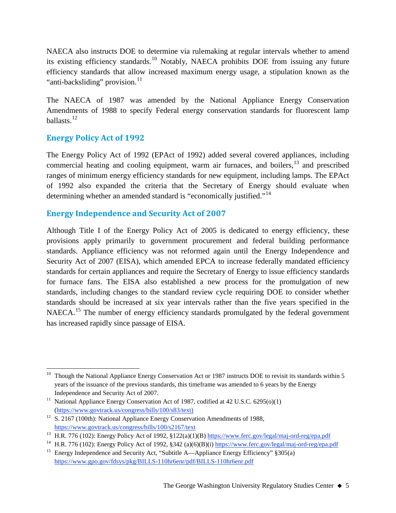NAECA also instructs DOE to determine via rulemaking at regular intervals whether to amend its existing efficiency standards.<sup>[10](#page-4-0)</sup> Notably, NAECA prohibits DOE from issuing any future efficiency standards that allow increased maximum energy usage, a stipulation known as the "anti-backsliding" provision.<sup>[11](#page-4-1)</sup>

The NAECA of 1987 was amended by the National Appliance Energy Conservation Amendments of 1988 to specify Federal energy conservation standards for fluorescent lamp ballasts.<sup>[12](#page-4-2)</sup>

# **Energy Policy Act of 1992**

The Energy Policy Act of 1992 (EPAct of 1992) added several covered appliances, including commercial heating and cooling equipment, warm air furnaces, and boilers, $13$  and prescribed ranges of minimum energy efficiency standards for new equipment, including lamps. The EPAct of 1992 also expanded the criteria that the Secretary of Energy should evaluate when determining whether an amended standard is "economically justified."<sup>[14](#page-4-4)</sup>

#### **Energy Independence and Security Act of 2007**

Although Title I of the Energy Policy Act of 2005 is dedicated to energy efficiency, these provisions apply primarily to government procurement and federal building performance standards. Appliance efficiency was not reformed again until the Energy Independence and Security Act of 2007 (EISA), which amended EPCA to increase federally mandated efficiency standards for certain appliances and require the Secretary of Energy to issue efficiency standards for furnace fans. The EISA also established a new process for the promulgation of new standards, including changes to the standard review cycle requiring DOE to consider whether standards should be increased at six year intervals rather than the five years specified in the NAECA.<sup>[15](#page-4-5)</sup> The number of energy efficiency standards promulgated by the federal government has increased rapidly since passage of EISA.

<span id="page-4-0"></span><sup>&</sup>lt;sup>10</sup> Though the National Appliance Energy Conservation Act or 1987 instructs DOE to revisit its standards within 5 years of the issuance of the previous standards, this timeframe was amended to 6 years by the Energy Independence and Security Act of 2007.

<span id="page-4-1"></span><sup>&</sup>lt;sup>11</sup> National Appliance Energy Conservation Act of 1987, codified at 42 U.S.C. 6295(o)(1) [\(https://www.govtrack.us/congress/bills/100/s83/text\)](https://www.govtrack.us/congress/bills/100/s83/text)

<span id="page-4-2"></span><sup>&</sup>lt;sup>12</sup> S. 2167 (100th): National Appliance Energy Conservation Amendments of 1988, <https://www.govtrack.us/congress/bills/100/s2167/text>

<span id="page-4-3"></span><sup>&</sup>lt;sup>13</sup> H.R. 776 (102): Energy Policy Act of 1992, §122(a)(1)(B) <https://www.ferc.gov/legal/maj-ord-reg/epa.pdf>

<span id="page-4-4"></span><sup>&</sup>lt;sup>14</sup> H.R. 776 (102): Energy Policy Act of 1992, §342 (a)(6)(B)(i) <https://www.ferc.gov/legal/maj-ord-reg/epa.pdf>

<span id="page-4-5"></span><sup>&</sup>lt;sup>15</sup> Energy Independence and Security Act, "Subtitle A—Appliance Energy Efficiency"  $§ 305(a)$ <https://www.gpo.gov/fdsys/pkg/BILLS-110hr6enr/pdf/BILLS-110hr6enr.pdf>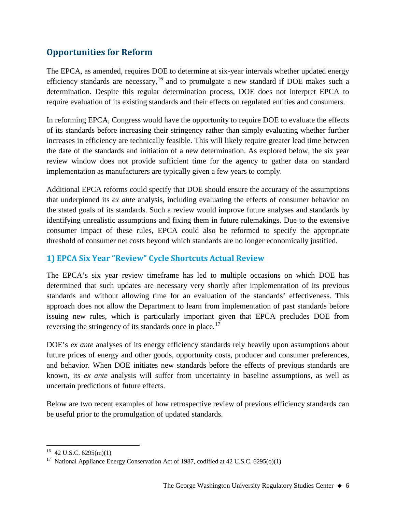# **Opportunities for Reform**

The EPCA, as amended, requires DOE to determine at six-year intervals whether updated energy efficiency standards are necessary,  $16$  and to promulgate a new standard if DOE makes such a determination. Despite this regular determination process, DOE does not interpret EPCA to require evaluation of its existing standards and their effects on regulated entities and consumers.

In reforming EPCA, Congress would have the opportunity to require DOE to evaluate the effects of its standards before increasing their stringency rather than simply evaluating whether further increases in efficiency are technically feasible. This will likely require greater lead time between the date of the standards and initiation of a new determination. As explored below, the six year review window does not provide sufficient time for the agency to gather data on standard implementation as manufacturers are typically given a few years to comply.

Additional EPCA reforms could specify that DOE should ensure the accuracy of the assumptions that underpinned its *ex ante* analysis, including evaluating the effects of consumer behavior on the stated goals of its standards. Such a review would improve future analyses and standards by identifying unrealistic assumptions and fixing them in future rulemakings. Due to the extensive consumer impact of these rules, EPCA could also be reformed to specify the appropriate threshold of consumer net costs beyond which standards are no longer economically justified.

## **1) EPCA Six Year "Review" Cycle Shortcuts Actual Review**

The EPCA's six year review timeframe has led to multiple occasions on which DOE has determined that such updates are necessary very shortly after implementation of its previous standards and without allowing time for an evaluation of the standards' effectiveness. This approach does not allow the Department to learn from implementation of past standards before issuing new rules, which is particularly important given that EPCA precludes DOE from reversing the stringency of its standards once in place.<sup>[17](#page-5-1)</sup>

DOE's *ex ante* analyses of its energy efficiency standards rely heavily upon assumptions about future prices of energy and other goods, opportunity costs, producer and consumer preferences, and behavior. When DOE initiates new standards before the effects of previous standards are known, its *ex ante* analysis will suffer from uncertainty in baseline assumptions, as well as uncertain predictions of future effects.

Below are two recent examples of how retrospective review of previous efficiency standards can be useful prior to the promulgation of updated standards.

<span id="page-5-0"></span> $16$  42 U.S.C. 6295(m)(1)

<span id="page-5-1"></span><sup>&</sup>lt;sup>17</sup> National Appliance Energy Conservation Act of 1987, codified at 42 U.S.C. 6295(o)(1)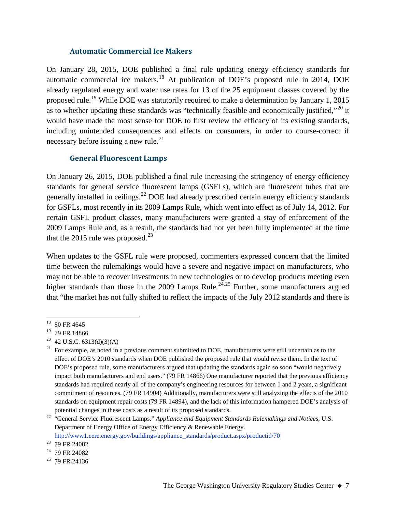#### **Automatic Commercial Ice Makers**

On January 28, 2015, DOE published a final rule updating energy efficiency standards for automatic commercial ice makers.<sup>[18](#page-6-0)</sup> At publication of DOE's proposed rule in 2014, DOE already regulated energy and water use rates for 13 of the 25 equipment classes covered by the proposed rule.<sup>[19](#page-6-1)</sup> While DOE was statutorily required to make a determination by January 1, 2015 as to whether updating these standards was "technically feasible and economically justified,"<sup>[20](#page-6-2)</sup> it would have made the most sense for DOE to first review the efficacy of its existing standards, including unintended consequences and effects on consumers, in order to course-correct if necessary before issuing a new rule. $^{21}$  $^{21}$  $^{21}$ 

#### **General Fluorescent Lamps**

On January 26, 2015, DOE published a final rule increasing the stringency of energy efficiency standards for general service fluorescent lamps (GSFLs), which are fluorescent tubes that are generally installed in ceilings.<sup>[22](#page-6-4)</sup> DOE had already prescribed certain energy efficiency standards for GSFLs, most recently in its 2009 Lamps Rule, which went into effect as of July 14, 2012. For certain GSFL product classes, many manufacturers were granted a stay of enforcement of the 2009 Lamps Rule and, as a result, the standards had not yet been fully implemented at the time that the 2015 rule was proposed.<sup>[23](#page-6-5)</sup>

When updates to the GSFL rule were proposed, commenters expressed concern that the limited time between the rulemakings would have a severe and negative impact on manufacturers, who may not be able to recover investments in new technologies or to develop products meeting even higher standards than those in the 2009 Lamps Rule.<sup>[24,](#page-6-6)[25](#page-6-7)</sup> Further, some manufacturers argued that "the market has not fully shifted to reflect the impacts of the July 2012 standards and there is

[http://www1.eere.energy.gov/buildings/appliance\\_standards/product.aspx/productid/70](http://www1.eere.energy.gov/buildings/appliance_standards/product.aspx/productid/70)

<span id="page-6-0"></span><sup>&</sup>lt;sup>18</sup> 80 FR 4645

<span id="page-6-1"></span><sup>&</sup>lt;sup>19</sup> 79 FR 14866

<span id="page-6-2"></span> $^{20}$  42 U.S.C. 6313(d)(3)(A)

<span id="page-6-3"></span> $21$  For example, as noted in a previous comment submitted to DOE, manufacturers were still uncertain as to the effect of DOE's 2010 standards when DOE published the proposed rule that would revise them. In the text of DOE's proposed rule, some manufacturers argued that updating the standards again so soon "would negatively impact both manufacturers and end users." (79 FR 14866) One manufacturer reported that the previous efficiency standards had required nearly all of the company's engineering resources for between 1 and 2 years, a significant commitment of resources. (79 FR 14904) Additionally, manufacturers were still analyzing the effects of the 2010 standards on equipment repair costs (79 FR 14894), and the lack of this information hampered DOE's analysis of potential changes in these costs as a result of its proposed standards.

<span id="page-6-4"></span><sup>&</sup>lt;sup>22</sup> "General Service Fluorescent Lamps." *Appliance and Equipment Standards Rulemakings and Notices*, U.S. Department of Energy Office of Energy Efficiency & Renewable Energy.

<span id="page-6-5"></span><sup>23</sup> 79 FR 24082

<span id="page-6-6"></span><sup>24</sup> 79 FR 24082

<span id="page-6-7"></span> $25$  79 FR 24136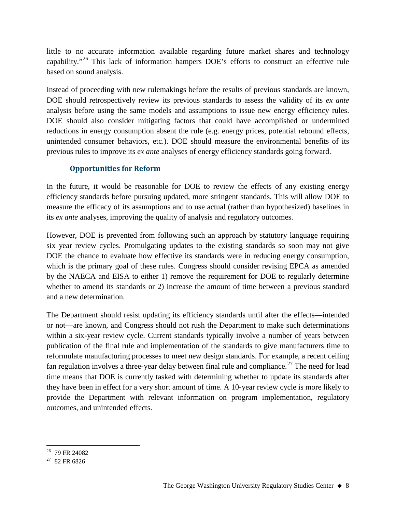little to no accurate information available regarding future market shares and technology capability."[26](#page-7-0) This lack of information hampers DOE's efforts to construct an effective rule based on sound analysis.

Instead of proceeding with new rulemakings before the results of previous standards are known, DOE should retrospectively review its previous standards to assess the validity of its *ex ante* analysis before using the same models and assumptions to issue new energy efficiency rules. DOE should also consider mitigating factors that could have accomplished or undermined reductions in energy consumption absent the rule (e.g. energy prices, potential rebound effects, unintended consumer behaviors, etc.). DOE should measure the environmental benefits of its previous rules to improve its *ex ante* analyses of energy efficiency standards going forward.

#### **Opportunities for Reform**

In the future, it would be reasonable for DOE to review the effects of any existing energy efficiency standards before pursuing updated, more stringent standards. This will allow DOE to measure the efficacy of its assumptions and to use actual (rather than hypothesized) baselines in its *ex ante* analyses, improving the quality of analysis and regulatory outcomes.

However, DOE is prevented from following such an approach by statutory language requiring six year review cycles. Promulgating updates to the existing standards so soon may not give DOE the chance to evaluate how effective its standards were in reducing energy consumption, which is the primary goal of these rules. Congress should consider revising EPCA as amended by the NAECA and EISA to either 1) remove the requirement for DOE to regularly determine whether to amend its standards or 2) increase the amount of time between a previous standard and a new determination.

The Department should resist updating its efficiency standards until after the effects—intended or not—are known, and Congress should not rush the Department to make such determinations within a six-year review cycle. Current standards typically involve a number of years between publication of the final rule and implementation of the standards to give manufacturers time to reformulate manufacturing processes to meet new design standards. For example, a recent ceiling fan regulation involves a three-year delay between final rule and compliance.<sup>[27](#page-7-1)</sup> The need for lead time means that DOE is currently tasked with determining whether to update its standards after they have been in effect for a very short amount of time. A 10-year review cycle is more likely to provide the Department with relevant information on program implementation, regulatory outcomes, and unintended effects.

<span id="page-7-0"></span><sup>&</sup>lt;sup>26</sup> 79 FR 24082

<span id="page-7-1"></span><sup>27 82</sup> FR 6826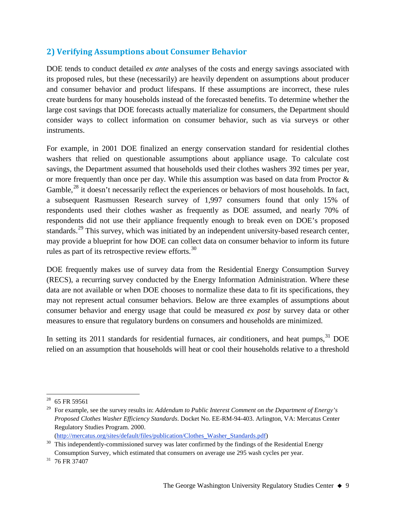## **2) Verifying Assumptions about Consumer Behavior**

DOE tends to conduct detailed *ex ante* analyses of the costs and energy savings associated with its proposed rules, but these (necessarily) are heavily dependent on assumptions about producer and consumer behavior and product lifespans. If these assumptions are incorrect, these rules create burdens for many households instead of the forecasted benefits. To determine whether the large cost savings that DOE forecasts actually materialize for consumers, the Department should consider ways to collect information on consumer behavior, such as via surveys or other instruments.

For example, in 2001 DOE finalized an energy conservation standard for residential clothes washers that relied on questionable assumptions about appliance usage. To calculate cost savings, the Department assumed that households used their clothes washers 392 times per year, or more frequently than once per day. While this assumption was based on data from Proctor & Gamble,<sup>[28](#page-8-0)</sup> it doesn't necessarily reflect the experiences or behaviors of most households. In fact, a subsequent Rasmussen Research survey of 1,997 consumers found that only 15% of respondents used their clothes washer as frequently as DOE assumed, and nearly 70% of respondents did not use their appliance frequently enough to break even on DOE's proposed standards.<sup>[29](#page-8-1)</sup> This survey, which was initiated by an independent university-based research center, may provide a blueprint for how DOE can collect data on consumer behavior to inform its future rules as part of its retrospective review efforts.<sup>[30](#page-8-2)</sup>

DOE frequently makes use of survey data from the Residential Energy Consumption Survey (RECS), a recurring survey conducted by the Energy Information Administration. Where these data are not available or when DOE chooses to normalize these data to fit its specifications, they may not represent actual consumer behaviors. Below are three examples of assumptions about consumer behavior and energy usage that could be measured *ex post* by survey data or other measures to ensure that regulatory burdens on consumers and households are minimized.

In setting its 2011 standards for residential furnaces, air conditioners, and heat pumps,<sup>[31](#page-8-3)</sup> DOE relied on an assumption that households will heat or cool their households relative to a threshold

[\(http://mercatus.org/sites/default/files/publication/Clothes\\_Washer\\_Standards.pdf\)](http://mercatus.org/sites/default/files/publication/Clothes_Washer_Standards.pdf)

<span id="page-8-0"></span> <sup>28</sup> 65 FR 59561

<span id="page-8-1"></span><sup>29</sup> For example, see the survey results in: *Addendum to Public Interest Comment on the Department of Energy's Proposed Clothes Washer Efficiency Standards*. Docket No. EE-RM-94-403. Arlington, VA: Mercatus Center Regulatory Studies Program. 2000.

<span id="page-8-2"></span> $30$  This independently-commissioned survey was later confirmed by the findings of the Residential Energy Consumption Survey, which estimated that consumers on average use 295 wash cycles per year. 31 76 FR 37407

<span id="page-8-3"></span>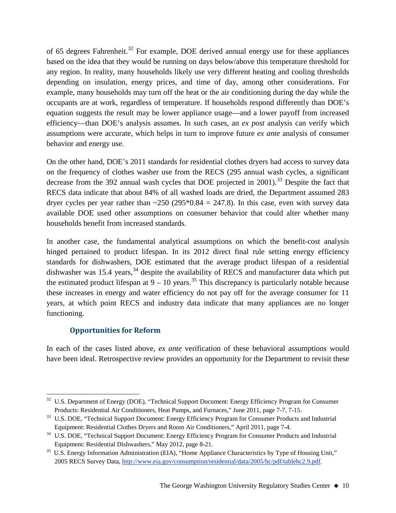of 65 degrees Fahrenheit.<sup>[32](#page-9-0)</sup> For example, DOE derived annual energy use for these appliances based on the idea that they would be running on days below/above this temperature threshold for any region. In reality, many households likely use very different heating and cooling thresholds depending on insulation, energy prices, and time of day, among other considerations. For example, many households may turn off the heat or the air conditioning during the day while the occupants are at work, regardless of temperature. If households respond differently than DOE's equation suggests the result may be lower appliance usage—and a lower payoff from increased efficiency—than DOE's analysis assumes. In such cases, an *ex post* analysis can verify which assumptions were accurate, which helps in turn to improve future *ex ante* analysis of consumer behavior and energy use.

On the other hand, DOE's 2011 standards for residential clothes dryers had access to survey data on the frequency of clothes washer use from the RECS (295 annual wash cycles, a significant decrease from the 392 annual wash cycles that DOE projected in  $2001$ ).<sup>[33](#page-9-1)</sup> Despite the fact that RECS data indicate that about 84% of all washed loads are dried, the Department assumed 283 dryer cycles per year rather than  $\sim$ 250 (295\*0.84 = 247.8). In this case, even with survey data available DOE used other assumptions on consumer behavior that could alter whether many households benefit from increased standards.

In another case, the fundamental analytical assumptions on which the benefit-cost analysis hinged pertained to product lifespan. In its 2012 direct final rule setting energy efficiency standards for dishwashers, DOE estimated that the average product lifespan of a residential dishwasher was  $15.4$  years,  $34$  despite the availability of RECS and manufacturer data which put the estimated product lifespan at  $9 - 10$  years.<sup>[35](#page-9-3)</sup> This discrepancy is particularly notable because these increases in energy and water efficiency do not pay off for the average consumer for 11 years, at which point RECS and industry data indicate that many appliances are no longer functioning.

#### **Opportunities for Reform**

In each of the cases listed above, *ex ante* verification of these behavioral assumptions would have been ideal. Retrospective review provides an opportunity for the Department to revisit these

<span id="page-9-0"></span><sup>&</sup>lt;sup>32</sup> U.S. Department of Energy (DOE), "Technical Support Document: Energy Efficiency Program for Consumer Products: Residential Air Conditioners, Heat Pumps, and Furnaces," June 2011, page 7-7, 7-15.<br><sup>33</sup> U.S. DOE, "Technical Support Document: Energy Efficiency Program for Consumer Products and Industrial

<span id="page-9-1"></span>Equipment: Residential Clothes Dryers and Room Air Conditioners," April 2011, page 7-4.

<span id="page-9-2"></span><sup>&</sup>lt;sup>34</sup> U.S. DOE, "Technical Support Document: Energy Efficiency Program for Consumer Products and Industrial Equipment: Residential Dishwashers," May 2012, page 8-21.<br><sup>35</sup> U.S. Energy Information Administration (EIA), "Home Appliance Characteristics by Type of Housing Unit,"

<span id="page-9-3"></span><sup>2005</sup> RECS Survey Data, [http://www.eia.gov/consumption/residential/data/2005/hc/pdf/tablehc2.9.pdf.](http://www.eia.gov/consumption/residential/data/2005/hc/pdf/tablehc2.9.pdf)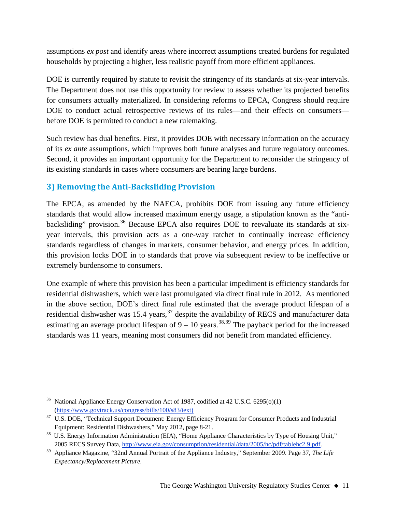assumptions *ex post* and identify areas where incorrect assumptions created burdens for regulated households by projecting a higher, less realistic payoff from more efficient appliances.

DOE is currently required by statute to revisit the stringency of its standards at six-year intervals. The Department does not use this opportunity for review to assess whether its projected benefits for consumers actually materialized. In considering reforms to EPCA, Congress should require DOE to conduct actual retrospective reviews of its rules—and their effects on consumers before DOE is permitted to conduct a new rulemaking.

Such review has dual benefits. First, it provides DOE with necessary information on the accuracy of its *ex ante* assumptions, which improves both future analyses and future regulatory outcomes. Second, it provides an important opportunity for the Department to reconsider the stringency of its existing standards in cases where consumers are bearing large burdens.

# **3) Removing the Anti-Backsliding Provision**

The EPCA, as amended by the NAECA, prohibits DOE from issuing any future efficiency standards that would allow increased maximum energy usage, a stipulation known as the "anti-backsliding" provision.<sup>[36](#page-10-0)</sup> Because EPCA also requires DOE to reevaluate its standards at sixyear intervals, this provision acts as a one-way ratchet to continually increase efficiency standards regardless of changes in markets, consumer behavior, and energy prices. In addition, this provision locks DOE in to standards that prove via subsequent review to be ineffective or extremely burdensome to consumers.

One example of where this provision has been a particular impediment is efficiency standards for residential dishwashers, which were last promulgated via direct final rule in 2012. As mentioned in the above section, DOE's direct final rule estimated that the average product lifespan of a residential dishwasher was  $15.4$  years,  $37$  despite the availability of RECS and manufacturer data estimating an average product lifespan of  $9 - 10$  years.<sup>[38](#page-10-2),[39](#page-10-3)</sup> The payback period for the increased standards was 11 years, meaning most consumers did not benefit from mandated efficiency.

<span id="page-10-0"></span>National Appliance Energy Conservation Act of 1987, codified at 42 U.S.C. 6295(o)(1) [\(https://www.govtrack.us/congress/bills/100/s83/text\)](https://www.govtrack.us/congress/bills/100/s83/text)

<span id="page-10-1"></span><sup>&</sup>lt;sup>37</sup> U.S. DOE, "Technical Support Document: Energy Efficiency Program for Consumer Products and Industrial

<span id="page-10-2"></span>Equipment: Residential Dishwashers," May 2012, page 8-21.<br><sup>38</sup> U.S. Energy Information Administration (EIA), "Home Appliance Characteristics by Type of Housing Unit," 2005 RECS Survey Data, [http://www.eia.gov/consumption/residential/data/2005/hc/pdf/tablehc2.9.pdf.](http://www.eia.gov/consumption/residential/data/2005/hc/pdf/tablehc2.9.pdf) 39 Appliance Magazine, "32nd Annual Portrait of the Appliance Industry," September 2009. Page 37, *The Life* 

<span id="page-10-3"></span>*Expectancy/Replacement Picture*.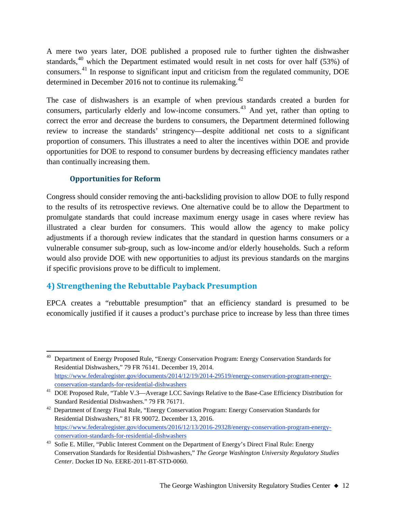A mere two years later, DOE published a proposed rule to further tighten the dishwasher standards,<sup>[40](#page-11-0)</sup> which the Department estimated would result in net costs for over half (53%) of consumers.<sup>[41](#page-11-1)</sup> In response to significant input and criticism from the regulated community, DOE determined in December 2016 not to continue its rulemaking. $42$ 

The case of dishwashers is an example of when previous standards created a burden for consumers, particularly elderly and low-income consumers.[43](#page-11-3) And yet, rather than opting to correct the error and decrease the burdens to consumers, the Department determined following review to increase the standards' stringency—despite additional net costs to a significant proportion of consumers. This illustrates a need to alter the incentives within DOE and provide opportunities for DOE to respond to consumer burdens by decreasing efficiency mandates rather than continually increasing them.

#### **Opportunities for Reform**

Congress should consider removing the anti-backsliding provision to allow DOE to fully respond to the results of its retrospective reviews. One alternative could be to allow the Department to promulgate standards that could increase maximum energy usage in cases where review has illustrated a clear burden for consumers. This would allow the agency to make policy adjustments if a thorough review indicates that the standard in question harms consumers or a vulnerable consumer sub-group, such as low-income and/or elderly households. Such a reform would also provide DOE with new opportunities to adjust its previous standards on the margins if specific provisions prove to be difficult to implement.

# **4) Strengthening the Rebuttable Payback Presumption**

EPCA creates a "rebuttable presumption" that an efficiency standard is presumed to be economically justified if it causes a product's purchase price to increase by less than three times

<span id="page-11-0"></span><sup>&</sup>lt;sup>40</sup> Department of Energy Proposed Rule, "Energy Conservation Program: Energy Conservation Standards for Residential Dishwashers," 79 FR 76141. December 19, 2014. [https://www.federalregister.gov/documents/2014/12/19/2014-29519/energy-conservation-program-energy](https://www.federalregister.gov/documents/2014/12/19/2014-29519/energy-conservation-program-energy-conservation-standards-for-residential-dishwashers)[conservation-standards-for-residential-dishwashers](https://www.federalregister.gov/documents/2014/12/19/2014-29519/energy-conservation-program-energy-conservation-standards-for-residential-dishwashers)

<span id="page-11-1"></span><sup>41</sup> DOE Proposed Rule, "Table V.3—Average LCC Savings Relative to the Base-Case Efficiency Distribution for Standard Residential Dishwashers." 79 FR 76171.

<span id="page-11-2"></span><sup>&</sup>lt;sup>42</sup> Department of Energy Final Rule, "Energy Conservation Program: Energy Conservation Standards for Residential Dishwashers," 81 FR 90072. December 13, 2016. [https://www.federalregister.gov/documents/2016/12/13/2016-29328/energy-conservation-program-energy](https://www.federalregister.gov/documents/2016/12/13/2016-29328/energy-conservation-program-energy-conservation-standards-for-residential-dishwashers)[conservation-standards-for-residential-dishwashers](https://www.federalregister.gov/documents/2016/12/13/2016-29328/energy-conservation-program-energy-conservation-standards-for-residential-dishwashers)

<span id="page-11-3"></span><sup>&</sup>lt;sup>43</sup> Sofie E. Miller, "Public Interest Comment on the Department of Energy's Direct Final Rule: Energy Conservation Standards for Residential Dishwashers," *The George Washington University Regulatory Studies Center*. Docket ID No. EERE-2011-BT-STD-0060.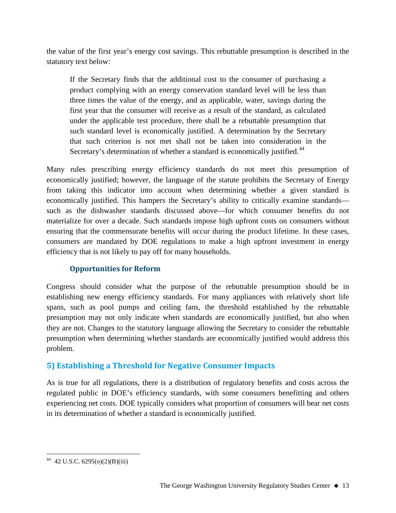the value of the first year's energy cost savings. This rebuttable presumption is described in the statutory text below:

If the Secretary finds that the additional cost to the consumer of purchasing a product complying with an energy conservation standard level will be less than three times the value of the energy, and as applicable, water, savings during the first year that the consumer will receive as a result of the standard, as calculated under the applicable test procedure, there shall be a rebuttable presumption that such standard level is economically justified. A determination by the Secretary that such criterion is not met shall not be taken into consideration in the Secretary's determination of whether a standard is economically justified.<sup>[44](#page-12-0)</sup>

Many rules prescribing energy efficiency standards do not meet this presumption of economically justified; however, the language of the statute prohibits the Secretary of Energy from taking this indicator into account when determining whether a given standard is economically justified. This hampers the Secretary's ability to critically examine standards such as the dishwasher standards discussed above—for which consumer benefits do not materialize for over a decade. Such standards impose high upfront costs on consumers without ensuring that the commensurate benefits will occur during the product lifetime. In these cases, consumers are mandated by DOE regulations to make a high upfront investment in energy efficiency that is not likely to pay off for many households.

#### **Opportunities for Reform**

Congress should consider what the purpose of the rebuttable presumption should be in establishing new energy efficiency standards. For many appliances with relatively short life spans, such as pool pumps and ceiling fans, the threshold established by the rebuttable presumption may not only indicate when standards are economically justified, but also when they are not. Changes to the statutory language allowing the Secretary to consider the rebuttable presumption when determining whether standards are economically justified would address this problem.

# **5) Establishing a Threshold for Negative Consumer Impacts**

As is true for all regulations, there is a distribution of regulatory benefits and costs across the regulated public in DOE's efficiency standards, with some consumers benefitting and others experiencing net costs. DOE typically considers what proportion of consumers will bear net costs in its determination of whether a standard is economically justified.

<span id="page-12-0"></span> <sup>44</sup> 42 U.S.C. 6295(o)(2)(B)(iii)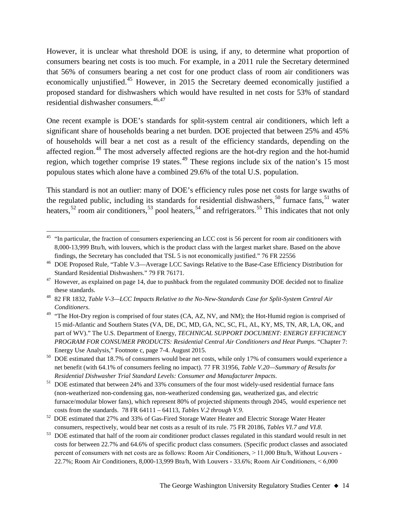However, it is unclear what threshold DOE is using, if any, to determine what proportion of consumers bearing net costs is too much. For example, in a 2011 rule the Secretary determined that 56% of consumers bearing a net cost for one product class of room air conditioners was economically unjustified.<sup>[45](#page-13-0)</sup> However, in 2015 the Secretary deemed economically justified a proposed standard for dishwashers which would have resulted in net costs for 53% of standard residential dishwasher consumers. $46,47$  $46,47$  $46,47$ 

One recent example is DOE's standards for split-system central air conditioners, which left a significant share of households bearing a net burden. DOE projected that between 25% and 45% of households will bear a net cost as a result of the efficiency standards, depending on the affected region.<sup>[48](#page-13-3)</sup> The most adversely affected regions are the hot-dry region and the hot-humid region, which together comprise 19 states.<sup>[49](#page-13-4)</sup> These regions include six of the nation's 15 most populous states which alone have a combined 29.6% of the total U.S. population.

This standard is not an outlier: many of DOE's efficiency rules pose net costs for large swaths of the regulated public, including its standards for residential dishwashers,<sup>[50](#page-13-5)</sup> furnace fans,<sup>[51](#page-13-6)</sup> water heaters,<sup>[52](#page-13-7)</sup> room air conditioners,<sup>[53](#page-13-8)</sup> pool heaters,<sup>[54](#page-13-9)</sup> and refrigerators.<sup>[55](#page-13-10)</sup> This indicates that not only

<span id="page-13-0"></span> $45$  "In particular, the fraction of consumers experiencing an LCC cost is 56 percent for room air conditioners with 8,000-13,999 Btu/h, with louvers, which is the product class with the largest market share. Based on the above findings, the Secretary has concluded that TSL 5 is not economically justified." 76 FR 22556

<span id="page-13-1"></span><sup>46</sup> DOE Proposed Rule, "Table V.3—Average LCC Savings Relative to the Base-Case Efficiency Distribution for Standard Residential Dishwashers." 79 FR 76171.

<span id="page-13-2"></span> $47$  However, as explained on page 14, due to pushback from the regulated community DOE decided not to finalize

<span id="page-13-3"></span>these standards. 48 82 FR 1832, *Table V-3—LCC Impacts Relative to the No-New-Standards Case for Split-System Central Air Conditioners*.

<span id="page-13-4"></span><sup>&</sup>lt;sup>49</sup> "The Hot-Dry region is comprised of four states (CA, AZ, NV, and NM); the Hot-Humid region is comprised of 15 mid-Atlantic and Southern States (VA, DE, DC, MD, GA, NC, SC, FL, AL, KY, MS, TN, AR, LA, OK, and part of WV)." The U.S. Department of Energy, *TECHNICAL SUPPORT DOCUMENT: ENERGY EFFICIENCY PROGRAM FOR CONSUMER PRODUCTS: Residential Central Air Conditioners and Heat Pumps*. "Chapter 7: Energy Use Analysis," Footnote c, page 7-4. August 2015.

<span id="page-13-5"></span><sup>&</sup>lt;sup>50</sup> DOE estimated that 18.7% of consumers would bear net costs, while only 17% of consumers would experience a net benefit (with 64.1% of consumers feeling no impact). 77 FR 31956, *Table V.20—Summary of Results for* 

<span id="page-13-9"></span><span id="page-13-6"></span>*Residential Dishwasher Trial Standard Levels: Consumer and Manufacturer Impacts*. 51 DOE estimated that between 24% and 33% consumers of the four most widely-used residential furnace fans (non-weatherized non-condensing gas, non-weatherized condensing gas, weatherized gas, and electric furnace/modular blower fans), which represent 80% of projected shipments through 2045, would experience net costs from the standards. 78 FR 64111 – 64113, *Tables V.2 through V.9*.

<span id="page-13-10"></span><span id="page-13-7"></span><sup>&</sup>lt;sup>52</sup> DOE estimated that 27% and 33% of Gas-Fired Storage Water Heater and Electric Storage Water Heater consumers, respectively, would bear net costs as a result of its rule. 75 FR 20186, *Tables VI.7 and VI.8*.

<span id="page-13-8"></span><sup>&</sup>lt;sup>53</sup> DOE estimated that half of the room air conditioner product classes regulated in this standard would result in net costs for between 22.7% and 64.6% of specific product class consumers. (Specific product classes and associated percent of consumers with net costs are as follows: Room Air Conditioners, > 11,000 Btu/h, Without Louvers - 22.7%; Room Air Conditioners, 8,000-13,999 Btu/h, With Louvers - 33.6%; Room Air Conditioners, < 6,000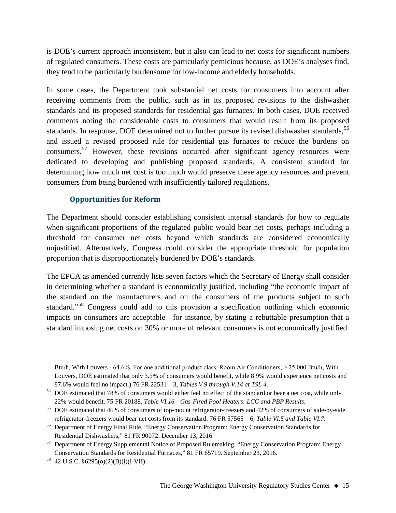is DOE's current approach inconsistent, but it also can lead to net costs for significant numbers of regulated consumers. These costs are particularly pernicious because, as DOE's analyses find, they tend to be particularly burdensome for low-income and elderly households.

In some cases, the Department took substantial net costs for consumers into account after receiving comments from the public, such as in its proposed revisions to the dishwasher standards and its proposed standards for residential gas furnaces. In both cases, DOE received comments noting the considerable costs to consumers that would result from its proposed standards. In response, DOE determined not to further pursue its revised dishwasher standards,<sup>[56](#page-14-0)</sup> and issued a revised proposed rule for residential gas furnaces to reduce the burdens on consumers.<sup>[57](#page-14-1)</sup> However, these revisions occurred after significant agency resources were dedicated to developing and publishing proposed standards. A consistent standard for determining how much net cost is too much would preserve these agency resources and prevent consumers from being burdened with insufficiently tailored regulations.

#### **Opportunities for Reform**

The Department should consider establishing consistent internal standards for how to regulate when significant proportions of the regulated public would bear net costs, perhaps including a threshold for consumer net costs beyond which standards are considered economically unjustified. Alternatively, Congress could consider the appropriate threshold for population proportion that is disproportionately burdened by DOE's standards.

The EPCA as amended currently lists seven factors which the Secretary of Energy shall consider in determining whether a standard is economically justified, including "the economic impact of the standard on the manufacturers and on the consumers of the products subject to such standard."[58](#page-14-2) Congress could add to this provision a specification outlining which economic impacts on consumers are acceptable—for instance, by stating a rebuttable presumption that a standard imposing net costs on 30% or more of relevant consumers is not economically justified.

 $\overline{a}$ 

Btu/h, With Louvers - 64.6%. For one additional product class, Room Air Conditioners, > 25,000 Btu/h, With Louvers, DOE estimated that only 3.5% of consumers would benefit, while 8.9% would experience net costs and 87.6% would feel no impact.) 76 FR 22531 – 3, *Tables V.9 through V.14 at TSL 4.*

<sup>&</sup>lt;sup>54</sup> DOE estimated that 78% of consumers would either feel no effect of the standard or bear a net cost, while only 22% would benefit. 75 FR 20188, *Table VI.16—Gas-Fired Pool Heaters: LCC and PBP Results*.

<sup>&</sup>lt;sup>55</sup> DOE estimated that 46% of consumers of top-mount refrigerator-freezers and 42% of consumers of side-by-side refrigerator-freezers would bear net costs from its standard. 76 FR 57565 – 6, *Table VI.5 and Table VI.7*.

<span id="page-14-0"></span><sup>&</sup>lt;sup>56</sup> Department of Energy Final Rule, "Energy Conservation Program: Energy Conservation Standards for Residential Dishwashers," 81 FR 90072. December 13, 2016.

<span id="page-14-1"></span><sup>&</sup>lt;sup>57</sup> Department of Energy Supplemental Notice of Proposed Rulemaking, "Energy Conservation Program: Energy Conservation Standards for Residential Furnaces," 81 FR 65719. September 23, 2016. 58 42 U.S.C. §6295(o)(2)(B)(i)(I-VII)

<span id="page-14-2"></span>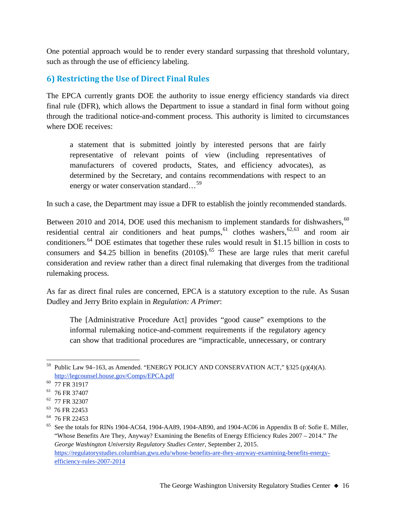One potential approach would be to render every standard surpassing that threshold voluntary, such as through the use of efficiency labeling.

## **6) Restricting the Use of Direct Final Rules**

The EPCA currently grants DOE the authority to issue energy efficiency standards via direct final rule (DFR), which allows the Department to issue a standard in final form without going through the traditional notice-and-comment process. This authority is limited to circumstances where DOE receives:

a statement that is submitted jointly by interested persons that are fairly representative of relevant points of view (including representatives of manufacturers of covered products, States, and efficiency advocates), as determined by the Secretary, and contains recommendations with respect to an energy or water conservation standard...<sup>[59](#page-15-0)</sup>

In such a case, the Department may issue a DFR to establish the jointly recommended standards.

Between 2010 and 2014, DOE used this mechanism to implement standards for dishwashers,  $60$ residential central air conditioners and heat pumps,<sup>[61](#page-15-2)</sup> clothes washers,<sup>[62](#page-15-3),[63](#page-15-4)</sup> and room air conditioners.<sup>[64](#page-15-5)</sup> DOE estimates that together these rules would result in \$1.15 billion in costs to consumers and \$4.25 billion in benefits  $(2010\text{\$})$ .<sup>[65](#page-15-6)</sup> These are large rules that merit careful consideration and review rather than a direct final rulemaking that diverges from the traditional rulemaking process.

As far as direct final rules are concerned, EPCA is a statutory exception to the rule. As Susan Dudley and Jerry Brito explain in *Regulation: A Primer*:

The [Administrative Procedure Act] provides "good cause" exemptions to the informal rulemaking notice-and-comment requirements if the regulatory agency can show that traditional procedures are "impracticable, unnecessary, or contrary

<span id="page-15-0"></span><sup>&</sup>lt;sup>59</sup> Public Law 94–163, as Amended. "ENERGY POLICY AND CONSERVATION ACT,"  $\S 325$  (p)(4)(A). <http://legcounsel.house.gov/Comps/EPCA.pdf>

<span id="page-15-1"></span><sup>&</sup>lt;sup>60</sup> 77 FR 31917

<span id="page-15-2"></span><sup>61</sup> 76 FR 37407

<span id="page-15-3"></span><sup>62</sup> 77 FR 32307

<span id="page-15-4"></span><sup>63 76</sup> FR 22453

<span id="page-15-5"></span><sup>&</sup>lt;sup>64</sup> 76 FR 22453

<span id="page-15-6"></span><sup>&</sup>lt;sup>65</sup> See the totals for RINs 1904-AC64, 1904-AA89, 1904-AB90, and 1904-AC06 in Appendix B of: Sofie E. Miller, "Whose Benefits Are They, Anyway? Examining the Benefits of Energy Efficiency Rules 2007 – 2014." *The George Washington University Regulatory Studies Center*, September 2, 2015. [https://regulatorystudies.columbian.gwu.edu/whose-benefits-are-they-anyway-examining-benefits-energy](https://regulatorystudies.columbian.gwu.edu/whose-benefits-are-they-anyway-examining-benefits-energy-efficiency-rules-2007-2014)[efficiency-rules-2007-2014](https://regulatorystudies.columbian.gwu.edu/whose-benefits-are-they-anyway-examining-benefits-energy-efficiency-rules-2007-2014)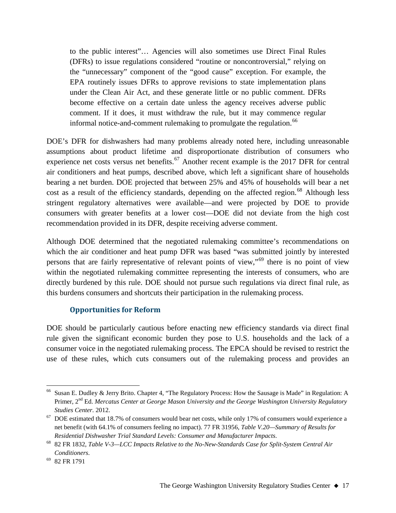to the public interest"… Agencies will also sometimes use Direct Final Rules (DFRs) to issue regulations considered "routine or noncontroversial," relying on the "unnecessary" component of the "good cause" exception. For example, the EPA routinely issues DFRs to approve revisions to state implementation plans under the Clean Air Act, and these generate little or no public comment. DFRs become effective on a certain date unless the agency receives adverse public comment. If it does, it must withdraw the rule, but it may commence regular informal notice-and-comment rulemaking to promulgate the regulation.<sup>[66](#page-16-0)</sup>

DOE's DFR for dishwashers had many problems already noted here, including unreasonable assumptions about product lifetime and disproportionate distribution of consumers who experience net costs versus net benefits.<sup>[67](#page-16-1)</sup> Another recent example is the 2017 DFR for central air conditioners and heat pumps, described above, which left a significant share of households bearing a net burden. DOE projected that between 25% and 45% of households will bear a net cost as a result of the efficiency standards, depending on the affected region.<sup>[68](#page-16-2)</sup> Although less stringent regulatory alternatives were available—and were projected by DOE to provide consumers with greater benefits at a lower cost—DOE did not deviate from the high cost recommendation provided in its DFR, despite receiving adverse comment.

Although DOE determined that the negotiated rulemaking committee's recommendations on which the air conditioner and heat pump DFR was based "was submitted jointly by interested persons that are fairly representative of relevant points of view,"[69](#page-16-3) there is no point of view within the negotiated rulemaking committee representing the interests of consumers, who are directly burdened by this rule. DOE should not pursue such regulations via direct final rule, as this burdens consumers and shortcuts their participation in the rulemaking process.

#### **Opportunities for Reform**

DOE should be particularly cautious before enacting new efficiency standards via direct final rule given the significant economic burden they pose to U.S. households and the lack of a consumer voice in the negotiated rulemaking process. The EPCA should be revised to restrict the use of these rules, which cuts consumers out of the rulemaking process and provides an

<span id="page-16-0"></span> <sup>66</sup> Susan E. Dudley & Jerry Brito. Chapter 4, "The Regulatory Process: How the Sausage is Made" in Regulation: A Primer, 2nd Ed. *Mercatus Center at George Mason University and the George Washington University Regulatory Studies Center*. 2012. 67 DOE estimated that 18.7% of consumers would bear net costs, while only 17% of consumers would experience a

<span id="page-16-1"></span>net benefit (with 64.1% of consumers feeling no impact). 77 FR 31956, *Table V.20—Summary of Results for* 

<span id="page-16-2"></span>*Residential Dishwasher Trial Standard Levels: Consumer and Manufacturer Impacts*. 68 82 FR 1832, *Table V-3—LCC Impacts Relative to the No-New-Standards Case for Split-System Central Air Conditioners*.

<span id="page-16-3"></span><sup>69</sup> 82 FR 1791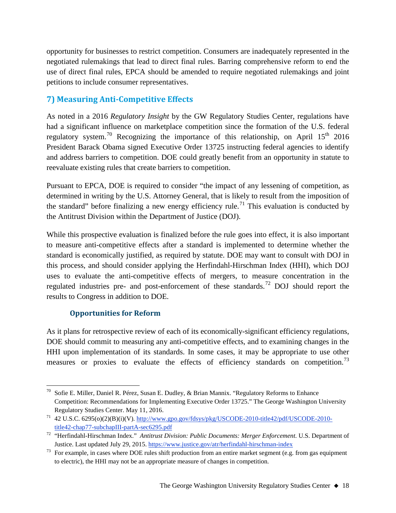opportunity for businesses to restrict competition. Consumers are inadequately represented in the negotiated rulemakings that lead to direct final rules. Barring comprehensive reform to end the use of direct final rules, EPCA should be amended to require negotiated rulemakings and joint petitions to include consumer representatives.

# **7) Measuring Anti-Competitive Effects**

As noted in a 2016 *Regulatory Insight* by the GW Regulatory Studies Center, regulations have had a significant influence on marketplace competition since the formation of the U.S. federal regulatory system.<sup>[70](#page-17-0)</sup> Recognizing the importance of this relationship, on April  $15<sup>th</sup>$  2016 President Barack Obama signed Executive Order 13725 instructing federal agencies to identify and address barriers to competition. DOE could greatly benefit from an opportunity in statute to reevaluate existing rules that create barriers to competition.

Pursuant to EPCA, DOE is required to consider "the impact of any lessening of competition, as determined in writing by the U.S. Attorney General, that is likely to result from the imposition of the standard" before finalizing a new energy efficiency rule.<sup>[71](#page-17-1)</sup> This evaluation is conducted by the Antitrust Division within the Department of Justice (DOJ).

While this prospective evaluation is finalized before the rule goes into effect, it is also important to measure anti-competitive effects after a standard is implemented to determine whether the standard is economically justified, as required by statute. DOE may want to consult with DOJ in this process, and should consider applying the Herfindahl-Hirschman Index (HHI), which DOJ uses to evaluate the anti-competitive effects of mergers, to measure concentration in the regulated industries pre- and post-enforcement of these standards.<sup>[72](#page-17-2)</sup> DOJ should report the results to Congress in addition to DOE.

#### **Opportunities for Reform**

As it plans for retrospective review of each of its economically-significant efficiency regulations, DOE should commit to measuring any anti-competitive effects, and to examining changes in the HHI upon implementation of its standards. In some cases, it may be appropriate to use other measures or proxies to evaluate the effects of efficiency standards on competition.<sup>[73](#page-17-3)</sup>

<span id="page-17-0"></span><sup>&</sup>lt;sup>70</sup> Sofie E. Miller, Daniel R. Pérez, Susan E. Dudley, & Brian Mannix. "Regulatory Reforms to Enhance Competition: Recommendations for Implementing Executive Order 13725." The George Washington University Regulatory Studies Center. May 11, 2016.

<span id="page-17-1"></span><sup>71</sup> 42 U.S.C. 6295(o)(2)(B)(i)(V). [http://www.gpo.gov/fdsys/pkg/USCODE-2010-title42/pdf/USCODE-2010](http://www.gpo.gov/fdsys/pkg/USCODE-2010-title42/pdf/USCODE-2010-title42-chap77-subchapIII-partA-sec6295.pdf) [title42-chap77-subchapIII-partA-sec6295.pdf](http://www.gpo.gov/fdsys/pkg/USCODE-2010-title42/pdf/USCODE-2010-title42-chap77-subchapIII-partA-sec6295.pdf)

<span id="page-17-2"></span><sup>72</sup> "Herfindahl-Hirschman Index." *Antitrust Division: Public Documents: Merger Enforcement*. U.S. Department of Justice. Last updated July 29, 2015. <https://www.justice.gov/atr/herfindahl-hirschman-index>

<span id="page-17-3"></span> $73$  For example, in cases where DOE rules shift production from an entire market segment (e.g. from gas equipment to electric), the HHI may not be an appropriate measure of changes in competition.